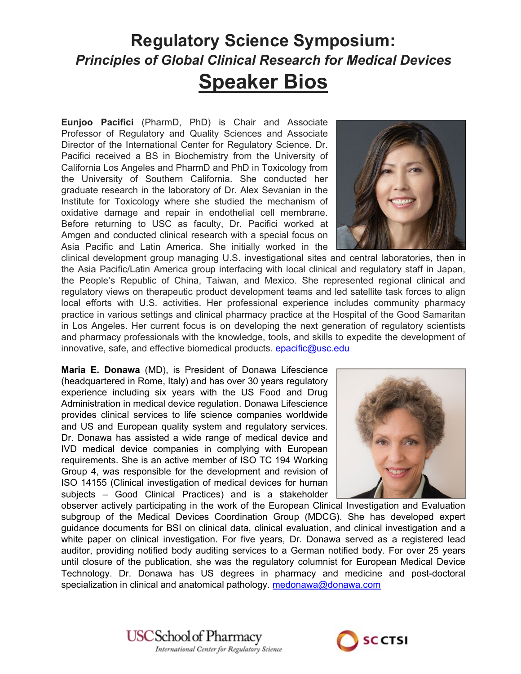## **Regulatory Science Symposium:** *Principles of Global Clinical Research for Medical Devices* **Speaker Bios**

**Eunjoo Pacifici** (PharmD, PhD) is Chair and Associate Professor of Regulatory and Quality Sciences and Associate Director of the International Center for Regulatory Science. Dr. Pacifici received a BS in Biochemistry from the University of California Los Angeles and PharmD and PhD in Toxicology from the University of Southern California. She conducted her graduate research in the laboratory of Dr. Alex Sevanian in the Institute for Toxicology where she studied the mechanism of oxidative damage and repair in endothelial cell membrane. Before returning to USC as faculty, Dr. Pacifici worked at Amgen and conducted clinical research with a special focus on Asia Pacific and Latin America. She initially worked in the



clinical development group managing U.S. investigational sites and central laboratories, then in the Asia Pacific/Latin America group interfacing with local clinical and regulatory staff in Japan, the People's Republic of China, Taiwan, and Mexico. She represented regional clinical and regulatory views on therapeutic product development teams and led satellite task forces to align local efforts with U.S. activities. Her professional experience includes community pharmacy practice in various settings and clinical pharmacy practice at the Hospital of the Good Samaritan in Los Angeles. Her current focus is on developing the next generation of regulatory scientists and pharmacy professionals with the knowledge, tools, and skills to expedite the development of innovative, safe, and effective biomedical products, [epacific@usc.edu](mailto:epacific@usc.edu)

**Maria E. Donawa** (MD), is President of Donawa Lifescience (headquartered in Rome, Italy) and has over 30 years regulatory experience including six years with the US Food and Drug Administration in medical device regulation. Donawa Lifescience provides clinical services to life science companies worldwide and US and European quality system and regulatory services. Dr. Donawa has assisted a wide range of medical device and IVD medical device companies in complying with European requirements. She is an active member of ISO TC 194 Working Group 4, was responsible for the development and revision of ISO 14155 (Clinical investigation of medical devices for human subjects – Good Clinical Practices) and is a stakeholder



observer actively participating in the work of the European Clinical Investigation and Evaluation subgroup of the Medical Devices Coordination Group (MDCG). She has developed expert guidance documents for BSI on clinical data, clinical evaluation, and clinical investigation and a white paper on clinical investigation. For five years, Dr. Donawa served as a registered lead auditor, providing notified body auditing services to a German notified body. For over 25 years until closure of the publication, she was the regulatory columnist for European Medical Device Technology. Dr. Donawa has US degrees in pharmacy and medicine and post-doctoral specialization in clinical and anatomical pathology. [medonawa@donawa.com](mailto:medonawa@donawa.com)